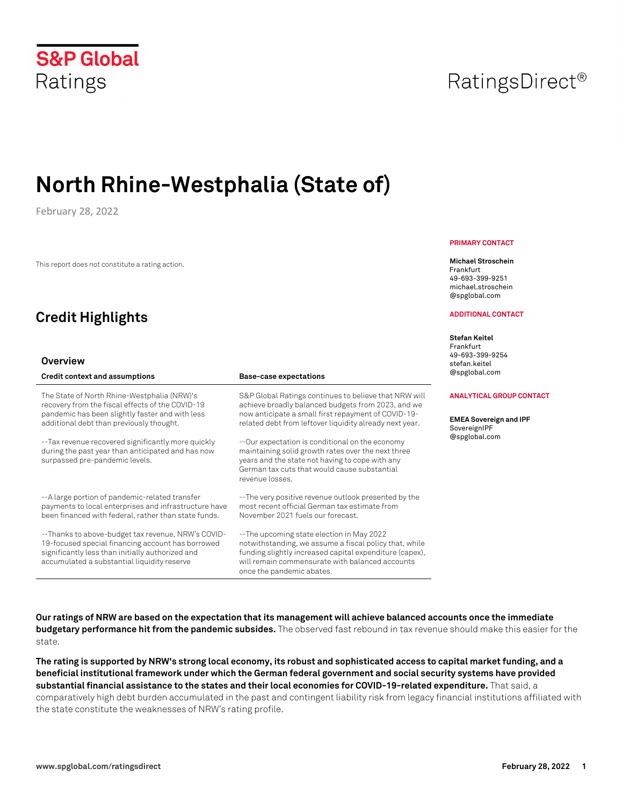# **North Rhine-Westphalia (State of)**

February 28, 2022

This report does not constitute a rating action.

## **Credit Highlights**

### **Overview**

| <b>Credit context and assumptions</b>                                                                                                                                                                      | <b>Base-case expectations</b>                                                                                                                                                                                                                  |
|------------------------------------------------------------------------------------------------------------------------------------------------------------------------------------------------------------|------------------------------------------------------------------------------------------------------------------------------------------------------------------------------------------------------------------------------------------------|
| The State of North Rhine-Westphalia (NRW)'s<br>recovery from the fiscal effects of the COVID-19<br>pandemic has been slightly faster and with less<br>additional debt than previously thought.             | S&P Global Ratings continues to believe that NRW will<br>achieve broadly balanced budgets from 2023, and we<br>now anticipate a small first repayment of COVID-19-<br>related debt from leftover liquidity already next year.                  |
| -- Tax revenue recovered significantly more quickly<br>during the past year than anticipated and has now<br>surpassed pre-pandemic levels.                                                                 | --Our expectation is conditional on the economy<br>maintaining solid growth rates over the next three<br>years and the state not having to cope with any<br>German tax cuts that would cause substantial<br>revenue losses.                    |
| --A large portion of pandemic-related transfer<br>payments to local enterprises and infrastructure have<br>been financed with federal, rather than state funds.                                            | --The very positive revenue outlook presented by the<br>most recent official German tax estimate from<br>November 2021 fuels our forecast.                                                                                                     |
| --Thanks to above-budget tax revenue, NRW's COVID-<br>19-focused special financing account has borrowed<br>significantly less than initially authorized and<br>accumulated a substantial liquidity reserve | --The upcoming state election in May 2022<br>notwithstanding, we assume a fiscal policy that, while<br>funding slightly increased capital expenditure (capex),<br>will remain commensurate with balanced accounts<br>once the pandemic abates. |

**Our ratings of NRW are based on the expectation that its management will achieve balanced accounts once the immediate budgetary performance hit from the pandemic subsides.** The observed fast rebound in tax revenue should make this easier for the state.

**The rating is supported by NRW's strong local economy, its robust and sophisticated access to capital market funding, and a beneficial institutional framework under which the German federal government and social security systems have provided substantial financial assistance to the states and their local economies for COVID-19-related expenditure.**That said, a comparatively high debt burden accumulated in the past and contingent liability risk from legacy financial institutions affiliated with the state constitute the weaknesses of NRW's rating profile.

#### **PRIMARY CONTACT**

#### **Michael Stroschein**

Frankfurt 49-693-399-9251 michael.stroschein @spglobal.com

#### **ADDITIONAL CONTACT**

**Stefan Keitel**  Frankfurt 49-693-399-9254 stefan.keitel @spglobal.com

#### **ANALYTICAL GROUP CONTACT**

**EMEA Sovereign and IPF**  overeignIPF @spglobal.com

RatingsDirect<sup>®</sup>

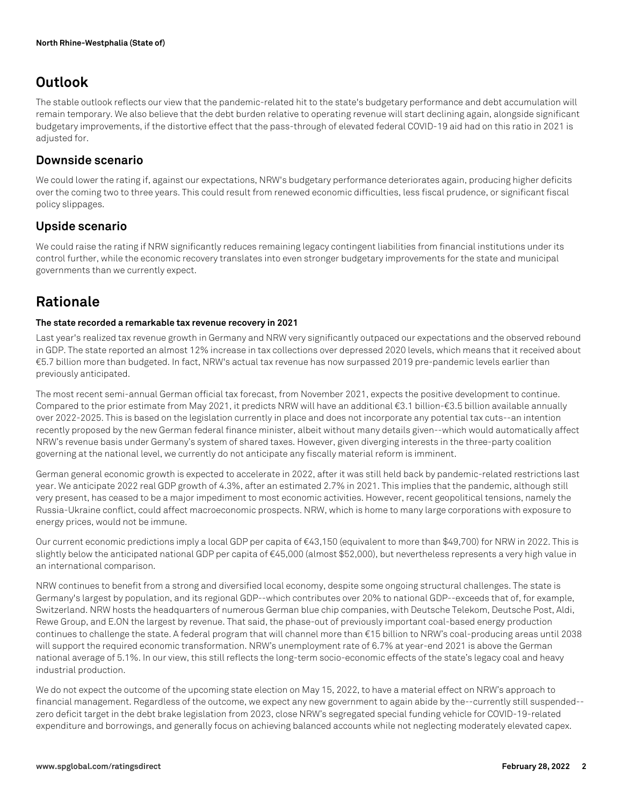### **Outlook**

The stable outlook reflects our view that the pandemic-related hit to the state's budgetary performance and debt accumulation will remain temporary. We also believe that the debt burden relative to operating revenue will start declining again, alongside significant budgetary improvements, if the distortive effect that the pass-through of elevated federal COVID-19 aid had on this ratio in 2021 is adjusted for.

### **Downside scenario**

We could lower the rating if, against our expectations, NRW's budgetary performance deteriorates again, producing higher deficits over the coming two to three years. This could result from renewed economic difficulties, less fiscal prudence, or significant fiscal policy slippages.

### **Upside scenario**

We could raise the rating if NRW significantly reduces remaining legacy contingent liabilities from financial institutions under its control further, while the economic recovery translates into even stronger budgetary improvements for the state and municipal governments than we currently expect.

### **Rationale**

#### **The state recorded a remarkable tax revenue recovery in 2021**

Last year's realized tax revenue growth in Germany and NRW very significantly outpaced our expectations and the observed rebound in GDP. The state reported an almost 12% increase in tax collections over depressed 2020 levels, which means that it received about €5.7 billion more than budgeted. In fact, NRW's actual tax revenue has now surpassed 2019 pre-pandemic levels earlier than previously anticipated.

The most recent semi-annual German official tax forecast, from November 2021, expects the positive development to continue. Compared to the prior estimate from May 2021, it predicts NRW will have an additional €3.1 billion-€3.5 billion available annually over 2022-2025. This is based on the legislation currently in place and does not incorporate any potential tax cuts--an intention recently proposed by the new German federal finance minister, albeit without many details given--which would automatically affect NRW's revenue basis under Germany's system of shared taxes. However, given diverging interests in the three-party coalition governing at the national level, we currently do not anticipate any fiscally material reform is imminent.

German general economic growth is expected to accelerate in 2022, after it was still held back by pandemic-related restrictions last year. We anticipate 2022 real GDP growth of 4.3%, after an estimated 2.7% in 2021. This implies that the pandemic, although still very present, has ceased to be a major impediment to most economic activities. However, recent geopolitical tensions, namely the Russia-Ukraine conflict, could affect macroeconomic prospects. NRW, which is home to many large corporations with exposure to energy prices, would not be immune.

Our current economic predictions imply a local GDP per capita of €43,150 (equivalent to more than \$49,700) for NRW in 2022. This is slightly below the anticipated national GDP per capita of €45,000 (almost \$52,000), but nevertheless represents a very high value in an international comparison.

NRW continues to benefit from a strong and diversified local economy, despite some ongoing structural challenges. The state is Germany's largest by population, and its regional GDP--which contributes over 20% to national GDP--exceeds that of, for example, Switzerland. NRW hosts the headquarters of numerous German blue chip companies, with Deutsche Telekom, Deutsche Post, Aldi, Rewe Group, and E.ON the largest by revenue. That said, the phase-out of previously important coal-based energy production continues to challenge the state. A federal program that will channel more than €15 billion to NRW's coal-producing areas until 2038 will support the required economic transformation. NRW's unemployment rate of 6.7% at year-end 2021 is above the German national average of 5.1%. In our view, this still reflects the long-term socio-economic effects of the state's legacy coal and heavy industrial production.

We do not expect the outcome of the upcoming state election on May 15, 2022, to have a material effect on NRW's approach to financial management. Regardless of the outcome, we expect any new government to again abide by the--currently still suspended- zero deficit target in the debt brake legislation from 2023, close NRW's segregated special funding vehicle for COVID-19-related expenditure and borrowings, and generally focus on achieving balanced accounts while not neglecting moderately elevated capex.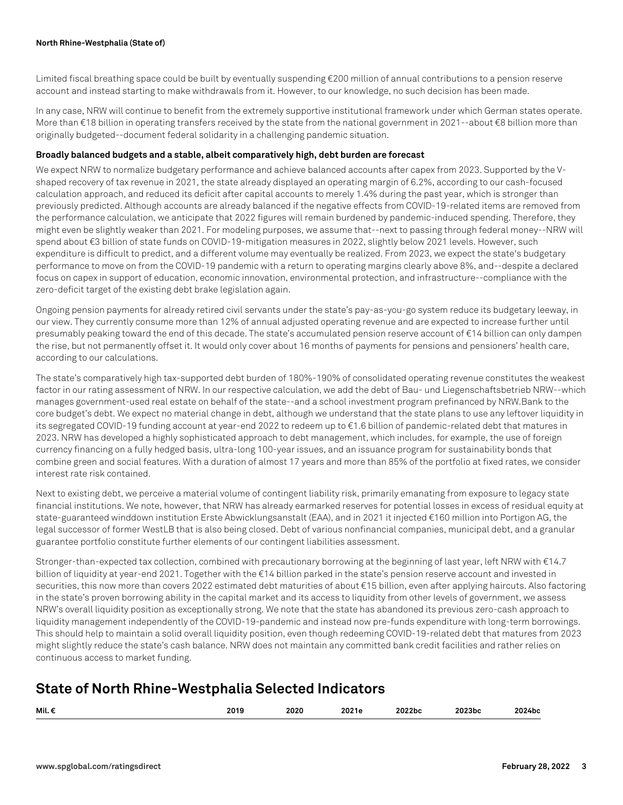Limited fiscal breathing space could be built by eventually suspending €200 million of annual contributions to a pension reserve account and instead starting to make withdrawals from it. However, to our knowledge, no such decision has been made.

In any case, NRW will continue to benefit from the extremely supportive institutional framework under which German states operate. More than €18 billion in operating transfers received by the state from the national government in 2021--about €8 billion more than originally budgeted--document federal solidarity in a challenging pandemic situation.

#### **Broadly balanced budgets and a stable, albeit comparatively high, debt burden are forecast**

We expect NRW to normalize budgetary performance and achieve balanced accounts after capex from 2023. Supported by the Vshaped recovery of tax revenue in 2021, the state already displayed an operating margin of 6.2%, according to our cash-focused calculation approach, and reduced its deficit after capital accounts to merely 1.4% during the past year, which is stronger than previously predicted. Although accounts are already balanced if the negative effects from COVID-19-related items are removed from the performance calculation, we anticipate that 2022 figures will remain burdened by pandemic-induced spending. Therefore, they might even be slightly weaker than 2021. For modeling purposes, we assume that--next to passing through federal money--NRW will spend about €3 billion of state funds on COVID-19-mitigation measures in 2022, slightly below 2021 levels. However, such expenditure is difficult to predict, and a different volume may eventually be realized. From 2023, we expect the state's budgetary performance to move on from the COVID-19 pandemic with a return to operating margins clearly above 8%, and--despite a declared focus on capex in support of education, economic innovation, environmental protection, and infrastructure--compliance with the zero-deficit target of the existing debt brake legislation again.

Ongoing pension payments for already retired civil servants under the state's pay-as-you-go system reduce its budgetary leeway, in our view. They currently consume more than 12% of annual adjusted operating revenue and are expected to increase further until presumably peaking toward the end of this decade. The state's accumulated pension reserve account of €14 billion can only dampen the rise, but not permanently offset it. It would only cover about 16 months of payments for pensions and pensioners' health care, according to our calculations.

The state's comparatively high tax-supported debt burden of 180%-190% of consolidated operating revenue constitutes the weakest factor in our rating assessment of NRW. In our respective calculation, we add the debt of Bau- und Liegenschaftsbetrieb NRW--which manages government-used real estate on behalf of the state--and a school investment program prefinanced by NRW.Bank to the core budget's debt. We expect no material change in debt, although we understand that the state plans to use any leftover liquidity in its segregated COVID-19 funding account at year-end 2022 to redeem up to €1.6 billion of pandemic-related debt that matures in 2023. NRW has developed a highly sophisticated approach to debt management, which includes, for example, the use of foreign currency financing on a fully hedged basis, ultra-long 100-year issues, and an issuance program for sustainability bonds that combine green and social features. With a duration of almost 17 years and more than 85% of the portfolio at fixed rates, we consider interest rate risk contained.

Next to existing debt, we perceive a material volume of contingent liability risk, primarily emanating from exposure to legacy state financial institutions. We note, however, that NRW has already earmarked reserves for potential losses in excess of residual equity at state-guaranteed winddown institution Erste Abwicklungsanstalt (EAA), and in 2021 it injected €160 million into Portigon AG, the legal successor of former WestLB that is also being closed. Debt of various nonfinancial companies, municipal debt, and a granular guarantee portfolio constitute further elements of our contingent liabilities assessment.

Stronger-than-expected tax collection, combined with precautionary borrowing at the beginning of last year, left NRW with €14.7 billion of liquidity at year-end 2021. Together with the €14 billion parked in the state's pension reserve account and invested in securities, this now more than covers 2022 estimated debt maturities of about €15 billion, even after applying haircuts. Also factoring in the state's proven borrowing ability in the capital market and its access to liquidity from other levels of government, we assess NRW's overall liquidity position as exceptionally strong. We note that the state has abandoned its previous zero-cash approach to liquidity management independently of the COVID-19-pandemic and instead now pre-funds expenditure with long-term borrowings. This should help to maintain a solid overall liquidity position, even though redeeming COVID-19-related debt that matures from 2023 might slightly reduce the state's cash balance. NRW does not maintain any committed bank credit facilities and rather relies on continuous access to market funding.

### **State of North Rhine-Westphalia Selected Indicators**

| Mil. | <br>$\sim$ $\sim$ | <b>0000</b><br>ZUZU<br>$\sim$ $\sim$ | - - -<br>.<br>. . | 'ZDC | <br>wuc<br>. | $-10$ |
|------|-------------------|--------------------------------------|-------------------|------|--------------|-------|
|      |                   |                                      |                   |      |              |       |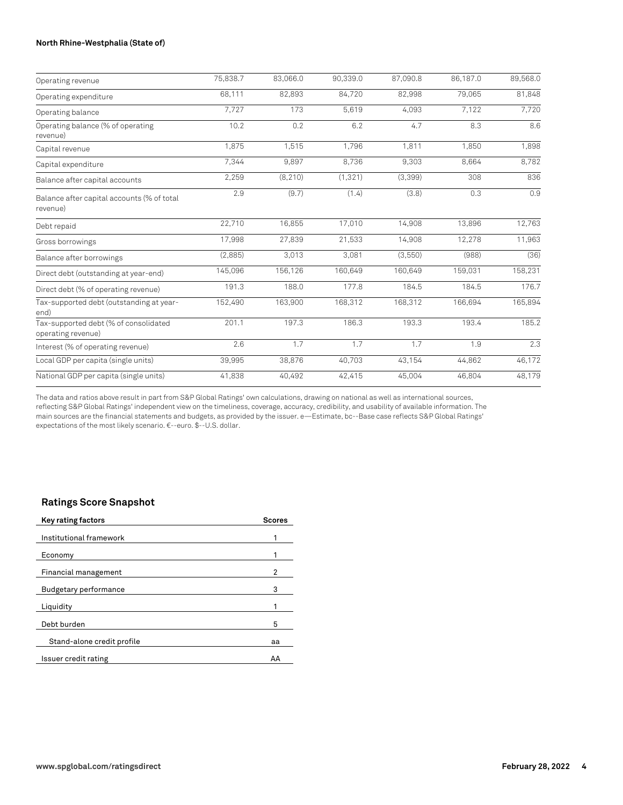#### **North Rhine-Westphalia (State of)**

| Operating revenue                                           | 75,838.7 | 83,066.0 | 90,339.0 | 87,090.8 | 86,187.0 | 89,568.0 |
|-------------------------------------------------------------|----------|----------|----------|----------|----------|----------|
| Operating expenditure                                       | 68,111   | 82,893   | 84,720   | 82,998   | 79,065   | 81,848   |
| Operating balance                                           | 7.727    | 173      | 5,619    | 4,093    | 7,122    | 7,720    |
| Operating balance (% of operating<br>revenue)               | 10.2     | 0.2      | 6.2      | 4.7      | 8.3      | 8.6      |
| Capital revenue                                             | 1,875    | 1,515    | 1,796    | 1,811    | 1,850    | 1,898    |
| Capital expenditure                                         | 7,344    | 9,897    | 8,736    | 9,303    | 8,664    | 8,782    |
| Balance after capital accounts                              | 2,259    | (8, 210) | (1, 321) | (3,399)  | 308      | 836      |
| Balance after capital accounts (% of total<br>revenue)      | 2.9      | (9.7)    | (1.4)    | (3.8)    | 0.3      | 0.9      |
| Debt repaid                                                 | 22,710   | 16,855   | 17,010   | 14,908   | 13,896   | 12,763   |
| Gross borrowings                                            | 17,998   | 27,839   | 21,533   | 14,908   | 12,278   | 11,963   |
| Balance after borrowings                                    | (2,885)  | 3,013    | 3,081    | (3,550)  | (988)    | (36)     |
| Direct debt (outstanding at year-end)                       | 145,096  | 156,126  | 160,649  | 160,649  | 159,031  | 158,231  |
| Direct debt (% of operating revenue)                        | 191.3    | 188.0    | 177.8    | 184.5    | 184.5    | 176.7    |
| Tax-supported debt (outstanding at year-<br>end)            | 152,490  | 163,900  | 168,312  | 168,312  | 166,694  | 165,894  |
| Tax-supported debt (% of consolidated<br>operating revenue) | 201.1    | 197.3    | 186.3    | 193.3    | 193.4    | 185.2    |
| Interest (% of operating revenue)                           | 2.6      | 1.7      | 1.7      | 1.7      | 1.9      | 2.3      |
| Local GDP per capita (single units)                         | 39,995   | 38,876   | 40,703   | 43,154   | 44,862   | 46,172   |
| National GDP per capita (single units)                      | 41,838   | 40,492   | 42,415   | 45.004   | 46.804   | 48,179   |

The data and ratios above result in part from S&P Global Ratings' own calculations, drawing on national as well as international sources, reflecting S&P Global Ratings' independent view on the timeliness, coverage, accuracy, credibility, and usability of available information. The main sources are the financial statements and budgets, as provided by the issuer. e—Estimate, bc--Base case reflects S&P Global Ratings' expectations of the most likely scenario. €--euro. \$--U.S. dollar.

### **Ratings Score Snapshot**

| <b>Scores</b> |
|---------------|
|               |
|               |
| 2             |
| 3             |
|               |
| 5             |
| aa            |
| AA            |
|               |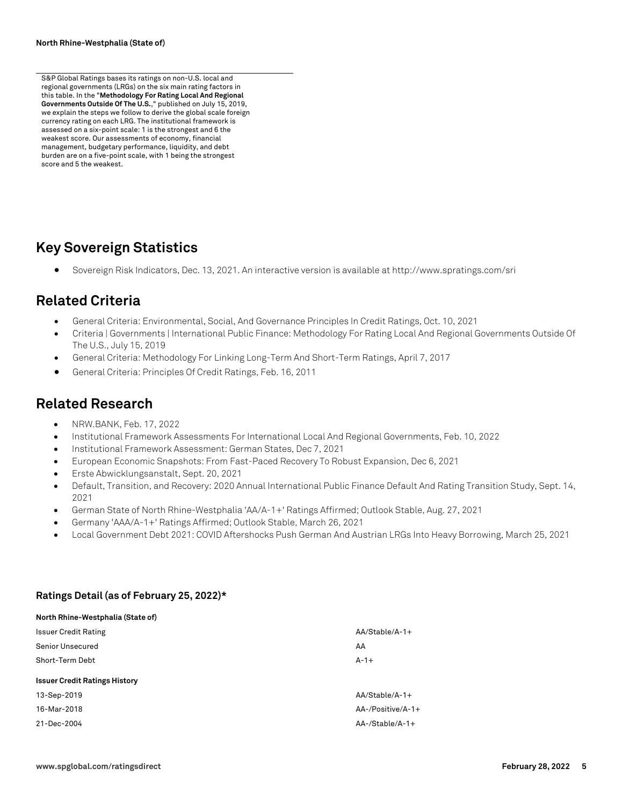S&P Global Ratings bases its ratings on non-U.S. local and regional governments (LRGs) on the six main rating factors in this table. In the "**Methodology For Rating Local And Regional Governments Outside Of The U.S.**," published on July 15, 2019, we explain the steps we follow to derive the global scale foreign currency rating on each LRG. The institutional framework is assessed on a six-point scale: 1 is the strongest and 6 the weakest score. Our assessments of economy, financial management, budgetary performance, liquidity, and debt burden are on a five-point scale, with 1 being the strongest score and 5 the weakest.

### **Key Sovereign Statistics**

• Sovereign Risk Indicators, Dec. 13, 2021. An interactive version is available at http://www.spratings.com/sri

### **Related Criteria**

- General Criteria: Environmental, Social, And Governance Principles In Credit Ratings, Oct. 10, 2021
- Criteria | Governments | International Public Finance: Methodology For Rating Local And Regional Governments Outside Of The U.S., July 15, 2019
- General Criteria: Methodology For Linking Long-Term And Short-Term Ratings, April 7, 2017
- General Criteria: Principles Of Credit Ratings, Feb. 16, 2011

### **Related Research**

- NRW.BANK, Feb. 17, 2022
- Institutional Framework Assessments For International Local And Regional Governments, Feb. 10, 2022
- Institutional Framework Assessment: German States, Dec 7, 2021
- European Economic Snapshots: From Fast-Paced Recovery To Robust Expansion, Dec 6, 2021
- Erste Abwicklungsanstalt, Sept. 20, 2021
- Default, Transition, and Recovery: 2020 Annual International Public Finance Default And Rating Transition Study, Sept. 14, 2021
- German State of North Rhine-Westphalia 'AA/A-1+' Ratings Affirmed; Outlook Stable, Aug. 27, 2021
- Germany 'AAA/A-1+' Ratings Affirmed; Outlook Stable, March 26, 2021
- Local Government Debt 2021: COVID Aftershocks Push German And Austrian LRGs Into Heavy Borrowing, March 25, 2021

#### **Ratings Detail (as of February 25, 2022)\***

| North Rhine-Westphalia (State of)    |                   |
|--------------------------------------|-------------------|
| <b>Issuer Credit Rating</b>          | $AA/Stable/A-1+$  |
| Senior Unsecured                     | AA                |
| Short-Term Debt                      | $A-1+$            |
| <b>Issuer Credit Ratings History</b> |                   |
| 13-Sep-2019                          | $AA/Stable/A-1+$  |
| 16-Mar-2018                          | AA-/Positive/A-1+ |
| 21-Dec-2004                          | AA-/Stable/A-1+   |